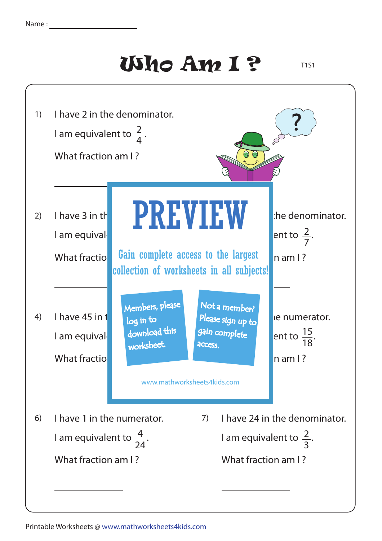## Who Am I ?

T1S1